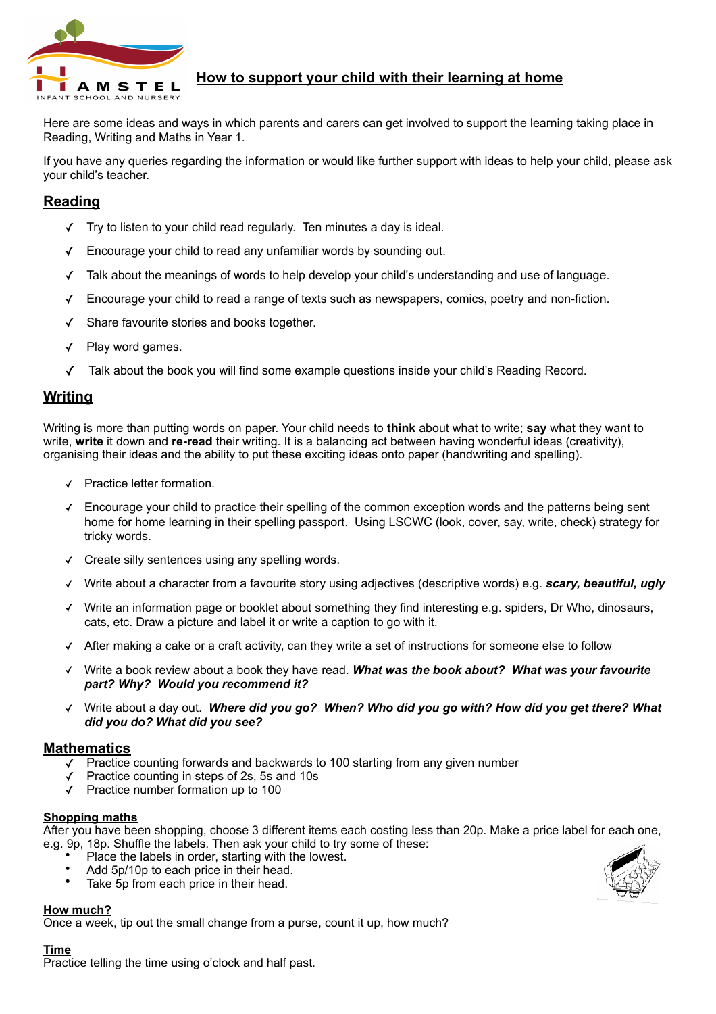

# **How to support your child with their learning at home**

Here are some ideas and ways in which parents and carers can get involved to support the learning taking place in Reading, Writing and Maths in Year 1.

If you have any queries regarding the information or would like further support with ideas to help your child, please ask your child's teacher.

## **Reading**

- Try to listen to your child read regularly. Ten minutes a day is ideal.
- Encourage your child to read any unfamiliar words by sounding out.
- ✓ Talk about the meanings of words to help develop your child's understanding and use of language.
- ✓ Encourage your child to read a range of texts such as newspapers, comics, poetry and non-fiction.
- ✓ Share favourite stories and books together.
- Play word games.
- ✓ Talk about the book you will find some example questions inside your child's Reading Record.

## **Writing**

Writing is more than putting words on paper. Your child needs to **think** about what to write; **say** what they want to write, **write** it down and **re-read** their writing. It is a balancing act between having wonderful ideas (creativity), organising their ideas and the ability to put these exciting ideas onto paper (handwriting and spelling).

- ✓ Practice letter formation.
- ✓ Encourage your child to practice their spelling of the common exception words and the patterns being sent home for home learning in their spelling passport. Using LSCWC (look, cover, say, write, check) strategy for tricky words.
- ✓ Create silly sentences using any spelling words.
- Write about a character from a favourite story using adjectives (descriptive words) e.g. *scary, beautiful, ugly*
- Write an information page or booklet about something they find interesting e.g. spiders, Dr Who, dinosaurs, cats, etc. Draw a picture and label it or write a caption to go with it.
- ✓ After making a cake or a craft activity, can they write a set of instructions for someone else to follow
- ✓ Write a book review about a book they have read. *What was the book about? What was your favourite part? Why? Would you recommend it?*
- ✓ Write about a day out. *Where did you go? When? Who did you go with? How did you get there? What did you do? What did you see?*

## **Mathematics**

- Practice counting forwards and backwards to 100 starting from any given number
- Practice counting in steps of 2s, 5s and 10s
- ✓ Practice number formation up to 100

#### **Shopping maths**

After you have been shopping, choose 3 different items each costing less than 20p. Make a price label for each one, e.g. 9p, 18p. Shuffle the labels. Then ask your child to try some of these:

- Place the labels in order, starting with the lowest.
- Add 5p/10p to each price in their head.
- Take 5p from each price in their head.

## **How much?**

Once a week, tip out the small change from a purse, count it up, how much?

## **Time**

Practice telling the time using o'clock and half past.